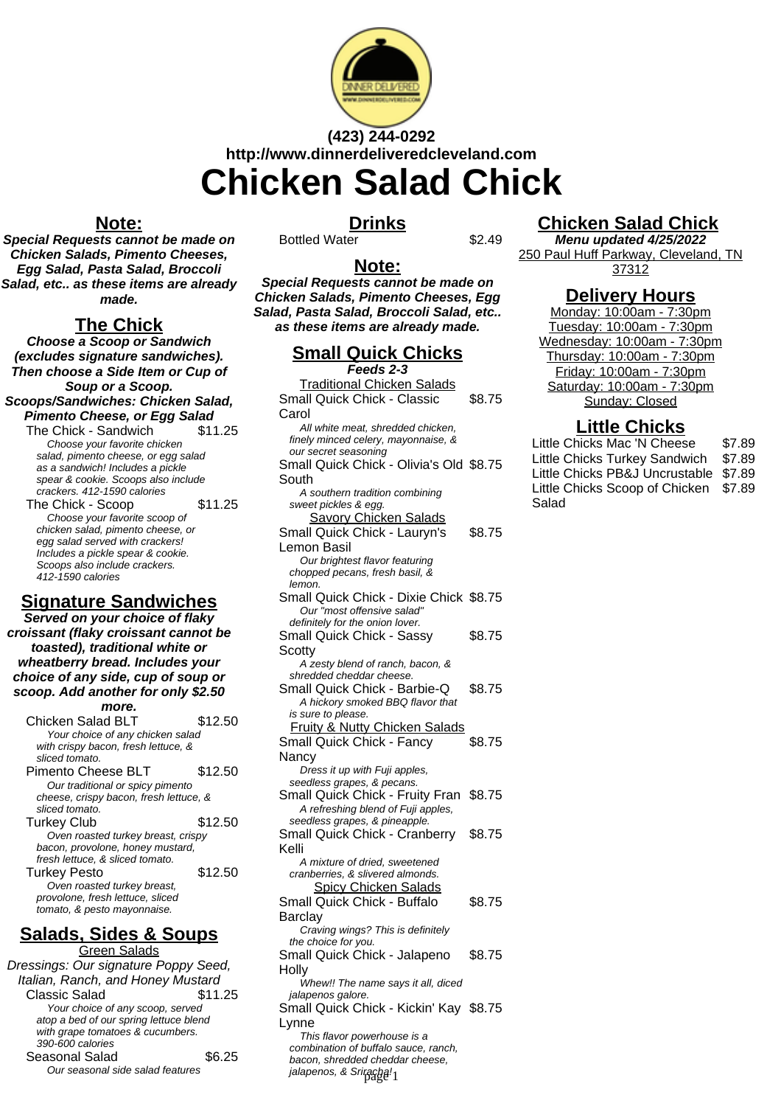

# **(423) 244-0292 http://www.dinnerdeliveredcleveland.com Chicken Salad Chick**

#### **Note:**

**Special Requests cannot be made on Chicken Salads, Pimento Cheeses, Egg Salad, Pasta Salad, Broccoli Salad, etc.. as these items are already made.**

#### **The Chick**

**Choose a Scoop or Sandwich (excludes signature sandwiches). Then choose a Side Item or Cup of Soup or a Scoop. Scoops/Sandwiches: Chicken Salad, Pimento Cheese, or Egg Salad**

The Chick - Sandwich \$11.25 Choose your favorite chicken salad, pimento cheese, or egg salad as a sandwich! Includes a pickle spear & cookie. Scoops also include crackers. 412-1590 calories The Chick - Scoop \$11.25 Choose your favorite scoop of chicken salad, pimento cheese, or egg salad served with crackers! Includes a pickle spear & cookie. Scoops also include crackers. 412-1590 calories

## **Signature Sandwiches**

**Served on your choice of flaky croissant (flaky croissant cannot be toasted), traditional white or wheatberry bread. Includes your choice of any side, cup of soup or scoop. Add another for only \$2.50 more.**

Chicken Salad BLT \$12.50 Your choice of any chicken salad with crispy bacon, fresh lettuce, & sliced tomato. Pimento Cheese BLT \$12.50 Our traditional or spicy pimento cheese, crispy bacon, fresh lettuce, & sliced tomato. Turkey Club \$12.50 Oven roasted turkey breast, crispy bacon, provolone, honey mustard, fresh lettuce, & sliced tomato. Turkey Pesto **\$12.50** Oven roasted turkey breast, provolone, fresh lettuce, sliced tomato, & pesto mayonnaise.

### **Salads, Sides & Soups**

**Green Salads** Dressings: Our signature Poppy Seed, Italian, Ranch, and Honey Mustard Classic Salad \$11.25 Your choice of any scoop, served atop a bed of our spring lettuce blend with grape tomatoes & cucumbers. 390-600 calories Seasonal Salad \$6.25 Our seasonal side salad features

#### **Drinks**

Bottled Water \$2.49

#### **Note:**

**Special Requests cannot be made on Chicken Salads, Pimento Cheeses, Egg Salad, Pasta Salad, Broccoli Salad, etc.. as these items are already made.**

## **Small Quick Chicks**

**Feeds 2-3** Traditional Chicken Salads Small Quick Chick - Classic Carol \$8.75 All white meat, shredded chicken, finely minced celery, mayonnaise, & our secret seasoning Small Quick Chick - Olivia's Old \$8.75 South A southern tradition combining sweet pickles & egg. Savory Chicken Salads Small Quick Chick - Lauryn's Lemon Basil \$8.75 Our brightest flavor featuring chopped pecans, fresh basil, & lemon. Small Quick Chick - Dixie Chick \$8.75 Our "most offensive salad" definitely for the onion lover. Small Quick Chick - Sassy **Scotty** \$8.75 A zesty blend of ranch, bacon, & shredded cheddar cheese. Small Quick Chick - Barbie-Q \$8.75 A hickory smoked BBQ flavor that is sure to please. Fruity & Nutty Chicken Salads Small Quick Chick - Fancy **Nancy** \$8.75 Dress it up with Fuji apples, seedless grapes, & pecans. Small Quick Chick - Fruity Fran \$8.75 A refreshing blend of Fuji apples, seedless grapes, & pineapple. Small Quick Chick - Cranberry Kelli \$8.75 A mixture of dried, sweetened cranberries, & slivered almonds. Spicy Chicken Salads Small Quick Chick - Buffalo **Barclay** \$8.75 Craving wings? This is definitely the choice for you. Small Quick Chick - Jalapeno **Holly** \$8.75 Whew!! The name says it all, diced jalapenos galore. Small Quick Chick - Kickin' Kay \$8.75 Lynne This flavor powerhouse is a combination of buffalo sauce, ranch, bacon, shredded cheddar cheese, jalapenos, & Sriracha!<sub>1</sub>

## **Chicken Salad Chick**

**Menu updated 4/25/2022** 250 Paul Huff Parkway, Cleveland, TN 37312

### **Delivery Hours**

Monday: 10:00am - 7:30pm Tuesday: 10:00am - 7:30pm Wednesday: 10:00am - 7:30pm Thursday: 10:00am - 7:30pm Friday: 10:00am - 7:30pm Saturday: 10:00am - 7:30pm Sunday: Closed

### **Little Chicks**

| Little Chicks Mac 'N Cheese           | \$7.89 |
|---------------------------------------|--------|
| Little Chicks Turkey Sandwich \$7.89  |        |
| Little Chicks PB&J Uncrustable \$7.89 |        |
| Little Chicks Scoop of Chicken \$7.89 |        |
| Salad                                 |        |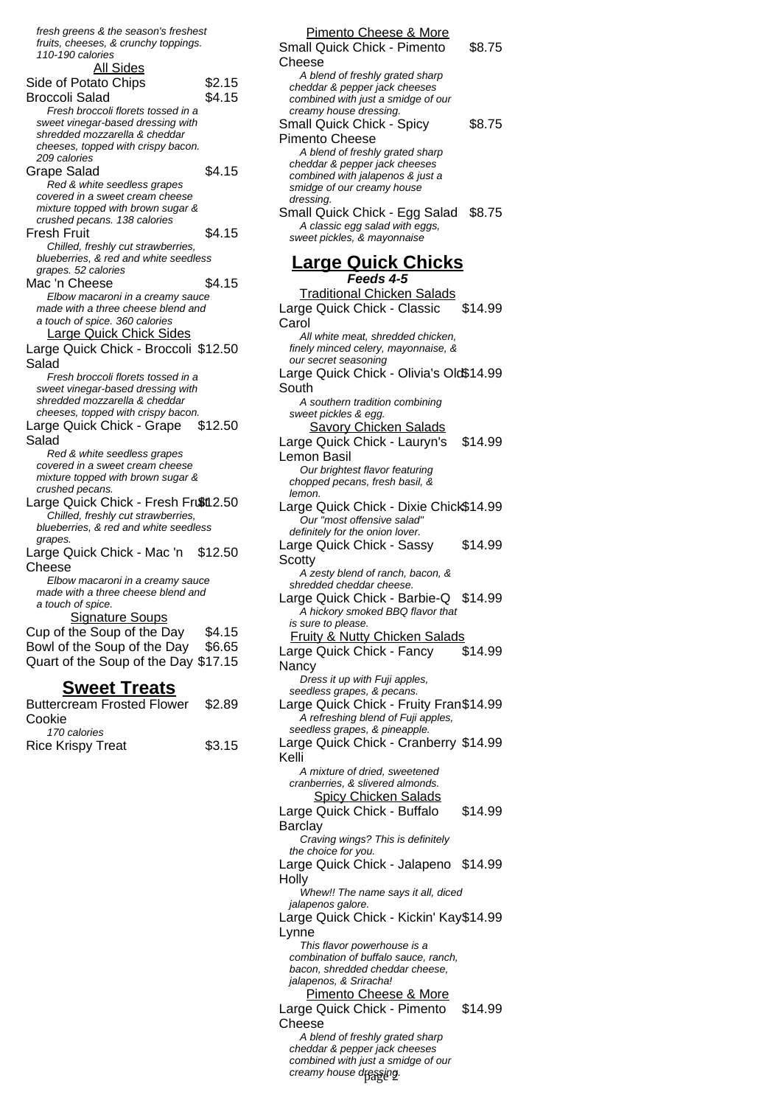| Sweet Treats                                                         |         |  |
|----------------------------------------------------------------------|---------|--|
| Quart of the Soup of the Day \$17.15                                 |         |  |
| Bowl of the Soup of the Day \$6.65                                   |         |  |
| Cup of the Soup of the Day                                           | \$4.15  |  |
| <b>Signature Soups</b>                                               |         |  |
| a touch of spice.                                                    |         |  |
| made with a three cheese blend and                                   |         |  |
| Elbow macaroni in a creamy sauce                                     |         |  |
| Cheese                                                               |         |  |
| Large Quick Chick - Mac 'n                                           | \$12.50 |  |
| grapes.                                                              |         |  |
| blueberries, & red and white seedless                                |         |  |
| Chilled, freshly cut strawberries,                                   |         |  |
| Large Quick Chick - Fresh Frußt12.50                                 |         |  |
| crushed pecans.                                                      |         |  |
| covered in a sweet cream cheese<br>mixture topped with brown sugar & |         |  |
| Red & white seedless grapes                                          |         |  |
| Salad                                                                |         |  |
| Large Quick Chick - Grape                                            | \$12.50 |  |
| cheeses, topped with crispy bacon.                                   |         |  |
| shredded mozzarella & cheddar                                        |         |  |
| sweet vinegar-based dressing with                                    |         |  |
| Fresh broccoli florets tossed in a                                   |         |  |
| Salad                                                                |         |  |
| Large Quick Chick - Broccoli \$12.50                                 |         |  |
| <b>Large Quick Chick Sides</b>                                       |         |  |
| a touch of spice. 360 calories                                       |         |  |
| made with a three cheese blend and                                   |         |  |
| Elbow macaroni in a creamy sauce                                     |         |  |
| Mac 'n Cheese                                                        | \$4.15  |  |
| grapes. 52 calories                                                  |         |  |
| blueberries, & red and white seedless                                |         |  |
| Chilled, freshly cut strawberries,                                   |         |  |
| Fresh Fruit                                                          | \$4.15  |  |
| crushed pecans. 138 calories                                         |         |  |
| mixture topped with brown sugar &                                    |         |  |
| covered in a sweet cream cheese                                      |         |  |
| Red & white seedless grapes                                          |         |  |
| Grape Salad                                                          | \$4.15  |  |
| cheeses, topped with crispy bacon.<br>209 calories                   |         |  |
| shredded mozzarella & cheddar                                        |         |  |
| sweet vinegar-based dressing with                                    |         |  |
| Fresh broccoli florets tossed in a                                   |         |  |
| Broccoli Salad                                                       | \$4.15  |  |
| Side of Potato Chips                                                 | \$2.15  |  |
| <b>All Sides</b>                                                     |         |  |
| 110-190 calories                                                     |         |  |
| fruits, cheeses, & crunchy toppings.                                 |         |  |
| fresh greens & the season's freshest                                 |         |  |
|                                                                      |         |  |

| .                                 |        |
|-----------------------------------|--------|
| <b>Buttercream Frosted Flower</b> | \$2.89 |
| Cookie                            |        |
| 170 calories                      |        |
| <b>Rice Krispy Treat</b>          | \$3.15 |
|                                   |        |

| Pimento Cheese & More                                                  |         |
|------------------------------------------------------------------------|---------|
| Small Quick Chick - Pimento                                            | \$8.75  |
| Cheese                                                                 |         |
| A blend of freshly grated sharp                                        |         |
| cheddar & pepper jack cheeses                                          |         |
| combined with just a smidge of our<br>creamy house dressing.           |         |
| Small Quick Chick - Spicy                                              | \$8.75  |
| Pimento Cheese                                                         |         |
| A blend of freshly grated sharp                                        |         |
| cheddar & pepper jack cheeses                                          |         |
| combined with jalapenos & just a                                       |         |
| smidge of our creamy house                                             |         |
| dressing.                                                              |         |
| Small Quick Chick - Egg Salad \$8.75                                   |         |
| A classic egg salad with eggs,<br>sweet pickles, & mayonnaise          |         |
|                                                                        |         |
| <b>Large Quick Chicks</b><br>Feeds 4-5                                 |         |
| <b>Traditional Chicken Salads</b>                                      |         |
| Large Quick Chick - Classic                                            | \$14.99 |
| Carol                                                                  |         |
| All white meat, shredded chicken,                                      |         |
| finely minced celery, mayonnaise, &                                    |         |
| our secret seasoning                                                   |         |
| Large Quick Chick - Olivia's Old\$14.99                                |         |
| South                                                                  |         |
| A southern tradition combining                                         |         |
| sweet pickles & egg.                                                   |         |
| <b>Savory Chicken Salads</b>                                           |         |
| Large Quick Chick - Lauryn's \$14.99                                   |         |
| Lemon Basil                                                            |         |
| Our brightest flavor featuring                                         |         |
| chopped pecans, fresh basil, &<br>lemon.                               |         |
| Large Quick Chick - Dixie Chick\$14.99                                 |         |
| Our "most offensive salad"                                             |         |
| definitely for the onion lover.                                        |         |
| Large Quick Chick - Sassy                                              | \$14.99 |
| Scotty                                                                 |         |
| A zesty blend of ranch, bacon, &                                       |         |
| shredded cheddar cheese.                                               |         |
| Large Quick Chick - Barbie-Q                                           | \$14.99 |
| A hickory smoked BBQ flavor that                                       |         |
| is sure to please.                                                     |         |
| <b>Fruity &amp; Nutty Chicken Salads</b>                               |         |
| Large Quick Chick - Fancy                                              | \$14.99 |
| Nancy                                                                  |         |
| Dress it up with Fuji apples,                                          |         |
| seedless grapes, & pecans.                                             |         |
| Large Quick Chick - Fruity Fran\$14.99                                 |         |
| A refreshing blend of Fuji apples,                                     |         |
| seedless grapes, & pineapple.<br>Large Quick Chick - Cranberry \$14.99 |         |
| Kelli                                                                  |         |
| A mixture of dried, sweetened                                          |         |
| cranberries, & slivered almonds.                                       |         |
| <b>Spicy Chicken Salads</b>                                            |         |
| Large Quick Chick - Buffalo                                            | \$14.99 |
| Barclay                                                                |         |
| Craving wings? This is definitely                                      |         |
| the choice for you.                                                    |         |
| Large Quick Chick - Jalapeno \$14.99                                   |         |
| Holly                                                                  |         |
| Whew!! The name says it all, diced                                     |         |
| jalapenos galore.                                                      |         |
| Large Quick Chick - Kickin' Kay\$14.99                                 |         |
| Lynne                                                                  |         |
| This flavor powerhouse is a                                            |         |
| combination of buffalo sauce, ranch,                                   |         |
| bacon, shredded cheddar cheese,                                        |         |
| jalapenos, & Sriracha!                                                 |         |
| Pimento Cheese & More                                                  |         |
| Large Quick Chick - Pimento                                            | \$14.99 |
| Cheese                                                                 |         |
| A blend of freshly grated sharp<br>cheddar & pepper jack cheeses       |         |
|                                                                        |         |

combined with just a smidge of our creamy house dressin**g**.